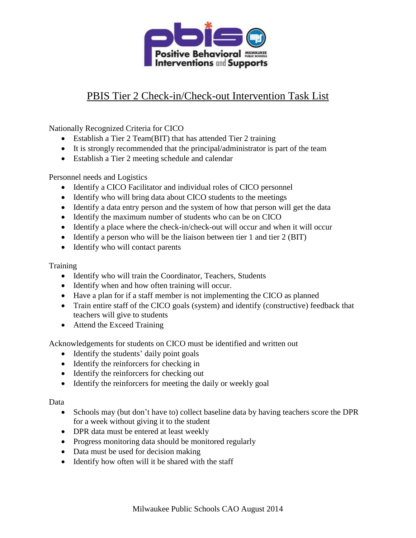

## PBIS Tier 2 Check-in/Check-out Intervention Task List

Nationally Recognized Criteria for CICO

- Establish a Tier 2 Team(BIT) that has attended Tier 2 training
- It is strongly recommended that the principal/administrator is part of the team
- Establish a Tier 2 meeting schedule and calendar

Personnel needs and Logistics

- Identify a CICO Facilitator and individual roles of CICO personnel
- Identify who will bring data about CICO students to the meetings
- Identify a data entry person and the system of how that person will get the data
- Identify the maximum number of students who can be on CICO
- Identify a place where the check-in/check-out will occur and when it will occur
- $\bullet$  Identify a person who will be the liaison between tier 1 and tier 2 (BIT)
- Identify who will contact parents

## **Training**

- Identify who will train the Coordinator, Teachers, Students
- Identify when and how often training will occur.
- Have a plan for if a staff member is not implementing the CICO as planned
- Train entire staff of the CICO goals (system) and identify (constructive) feedback that teachers will give to students
- Attend the Exceed Training

Acknowledgements for students on CICO must be identified and written out

- Identify the students' daily point goals
- Identify the reinforcers for checking in
- Identify the reinforcers for checking out
- Identify the reinforcers for meeting the daily or weekly goal

## Data

- Schools may (but don't have to) collect baseline data by having teachers score the DPR for a week without giving it to the student
- DPR data must be entered at least weekly
- Progress monitoring data should be monitored regularly
- Data must be used for decision making
- Identify how often will it be shared with the staff